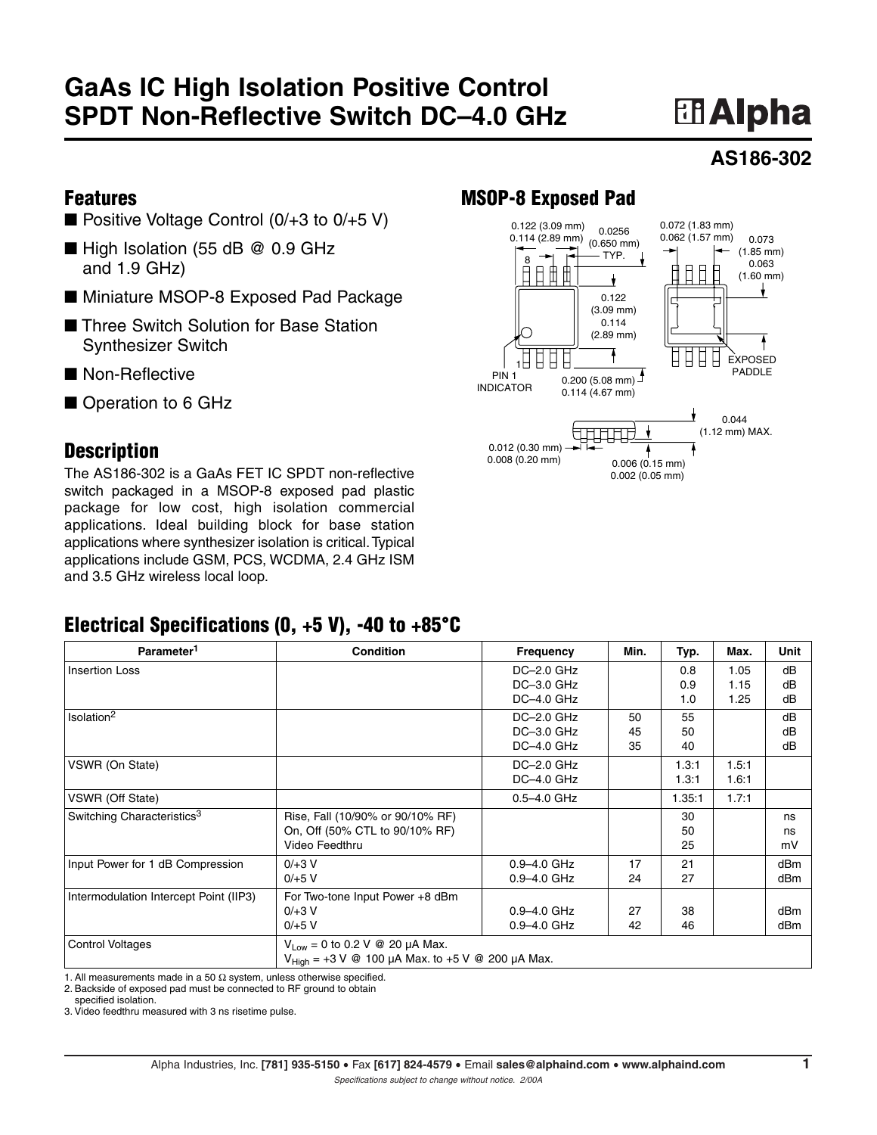## **GaAs IC High Isolation Positive Control SPDT Non-Reflective Switch DC–4.0 GHz**

# **El Alpha**

#### **AS186-302**

#### **Features**

- Positive Voltage Control  $(0/+3$  to  $0/+5$  V)
- High Isolation (55 dB @ 0.9 GHz and 1.9 GHz)
- Miniature MSOP-8 Exposed Pad Package
- Three Switch Solution for Base Station Synthesizer Switch
- Non-Reflective
- Operation to 6 GHz

#### **Description**

The AS186-302 is a GaAs FET IC SPDT non-reflective switch packaged in a MSOP-8 exposed pad plastic package for low cost, high isolation commercial applications. Ideal building block for base station applications where synthesizer isolation is critical.Typical applications include GSM, PCS, WCDMA, 2.4 GHz ISM and 3.5 GHz wireless local loop.

### **MSOP-8 Exposed Pad**



#### **Electrical Specifications (0, +5 V), -40 to +85°C**

| Parameter <sup>1</sup>                 | <b>Condition</b>                                             | Frequency       | Min. | Typ.   | Max.  | <b>Unit</b>     |
|----------------------------------------|--------------------------------------------------------------|-----------------|------|--------|-------|-----------------|
| <b>Insertion Loss</b>                  |                                                              | DC-2.0 GHz      |      | 0.8    | 1.05  | dB              |
|                                        |                                                              | $DC-3.0$ GHz    |      | 0.9    | 1.15  | dB              |
|                                        |                                                              | DC-4.0 GHz      |      | 1.0    | 1.25  | dB              |
| Isolation <sup>2</sup>                 |                                                              | DC-2.0 GHz      | 50   | 55     |       | dB              |
|                                        |                                                              | $DC-3.0$ GHz    | 45   | 50     |       | dB              |
|                                        |                                                              | $DC-4.0$ GHz    | 35   | 40     |       | dB              |
| VSWR (On State)                        |                                                              | $DC-2.0$ GHz    |      | 1.3:1  | 1.5:1 |                 |
|                                        |                                                              | DC-4.0 GHz      |      | 1.3:1  | 1.6.1 |                 |
| VSWR (Off State)                       |                                                              | 0.5-4.0 GHz     |      | 1.35.1 | 1.7:1 |                 |
| Switching Characteristics <sup>3</sup> | Rise, Fall (10/90% or 90/10% RF)                             |                 |      | 30     |       | ns              |
|                                        | On, Off (50% CTL to 90/10% RF)                               |                 |      | 50     |       | ns              |
|                                        | Video Feedthru                                               |                 |      | 25     |       | mV              |
| Input Power for 1 dB Compression       | $0/ + 3 V$                                                   | $0.9 - 4.0$ GHz | 17   | 21     |       | dB <sub>m</sub> |
|                                        | $0/+5$ V                                                     | $0.9 - 4.0$ GHz | 24   | 27     |       | dBm             |
| Intermodulation Intercept Point (IIP3) | For Two-tone Input Power +8 dBm                              |                 |      |        |       |                 |
|                                        | $0/ + 3 V$                                                   | $0.9 - 4.0$ GHz | 27   | 38     |       | dBm             |
|                                        | $0/+5$ V                                                     | $0.9 - 4.0$ GHz | 42   | 46     |       | dBm             |
| <b>Control Voltages</b>                | $V_{Low} = 0$ to 0.2 V @ 20 µA Max.                          |                 |      |        |       |                 |
|                                        | $V_{\text{Hich}}$ = +3 V @ 100 μA Max. to +5 V @ 200 μA Max. |                 |      |        |       |                 |

1. All measurements made in a 50  $\Omega$  system, unless otherwise specified.

2. Backside of exposed pad must be connected to RF ground to obtain

specified isolation.

3. Video feedthru measured with 3 ns risetime pulse.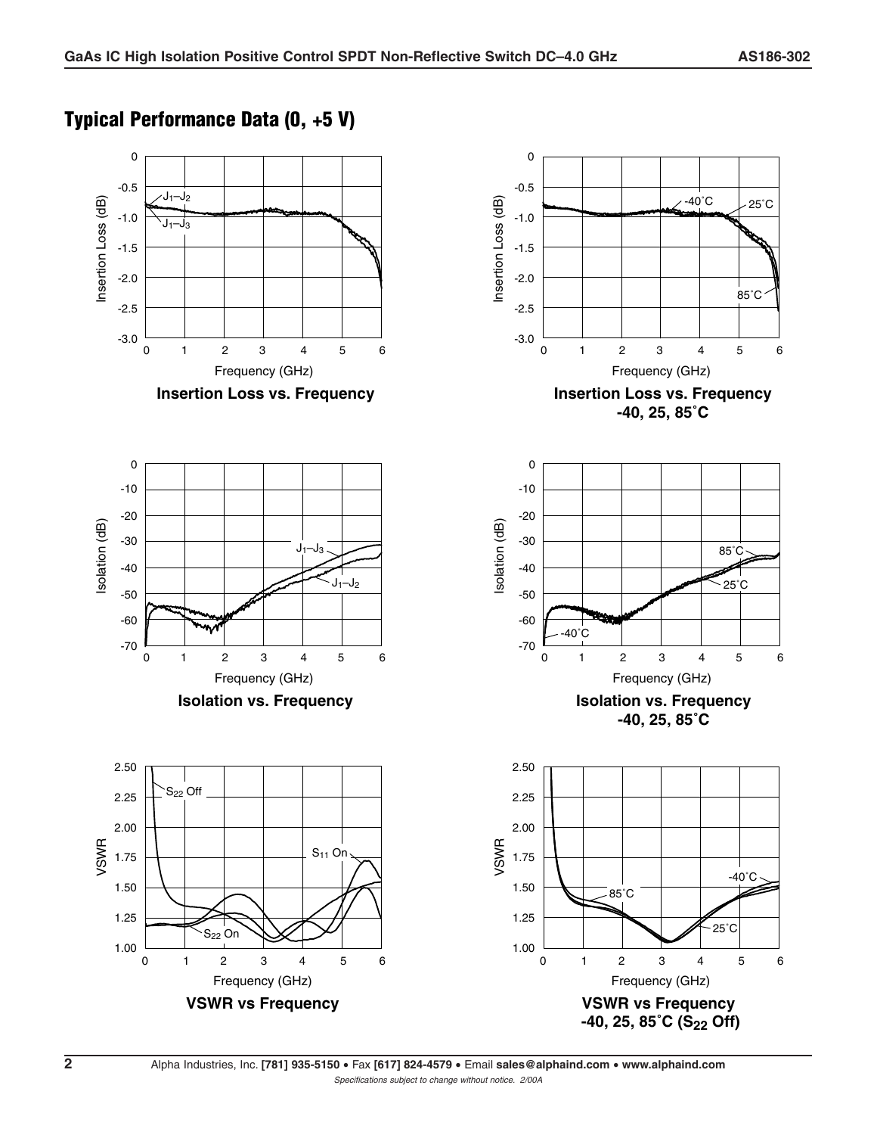#### **Typical Performance Data (0, +5 V)**



**2** Alpha Industries, Inc. **[781] 935-5150** • Fax **[617] 824-4579** • Email **sales@alphaind.com** • **www.alphaind.com** Specifications subject to change without notice. 2/00A